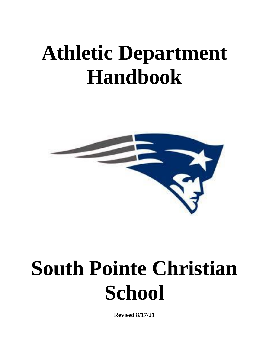# **Athletic Department Handbook**



# **South Pointe Christian School**

**Revised 8/17/21**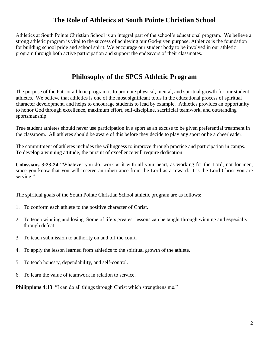# **The Role of Athletics at South Pointe Christian School**

Athletics at South Pointe Christian School is an integral part of the school's educational program. We believe a strong athletic program is vital to the success of achieving our God-given purpose. Athletics is the foundation for building school pride and school spirit. We encourage our student body to be involved in our athletic program through both active participation and support the endeavors of their classmates.

## **Philosophy of the SPCS Athletic Program**

The purpose of the Patriot athletic program is to promote physical, mental, and spiritual growth for our student athletes. We believe that athletics is one of the most significant tools in the educational process of spiritual character development, and helps to encourage students to lead by example. Athletics provides an opportunity to honor God through excellence, maximum effort, self-discipline, sacrificial teamwork, and outstanding sportsmanship.

True student athletes should never use participation in a sport as an excuse to be given preferential treatment in the classroom. All athletes should be aware of this before they decide to play any sport or be a cheerleader.

The commitment of athletes includes the willingness to improve through practice and participation in camps. To develop a winning attitude, the pursuit of excellence will require dedication.

**Colossians 3:23-24** "Whatever you do. work at it with all your heart, as working for the Lord, not for men, since you know that you will receive an inheritance from the Lord as a reward. It is the Lord Christ you are serving."

The spiritual goals of the South Pointe Christian School athletic program are as follows:

- 1. To conform each athlete to the positive character of Christ.
- 2. To teach winning and losing. Some of life's greatest lessons can be taught through winning and especially through defeat.
- 3. To teach submission to authority on and off the court.
- 4. To apply the lesson learned from athletics to the spiritual growth of the athlete.
- 5. To teach honesty, dependability, and self-control.
- 6. To learn the value of teamwork in relation to service.

**Philippians 4:13** "I can do all things through Christ which strengthens me."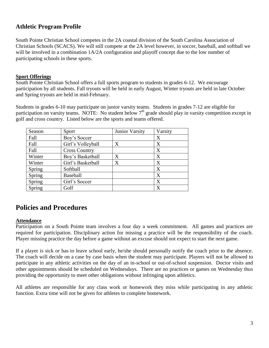## **Athletic Program Profile**

South Pointe Christian School competes in the 2A coastal division of the South Carolina Association of Christian Schools (SCACS). We will still compete at the 2A level however, in soccer, baseball, and softball we will be involved in a combination  $1A/2A$  configuration and playoff concept due to the low number of participating schools in these sports.

#### **Sport Offerings**

South Pointe Christian School offers a full sports program to students in grades 6-12. We encourage participation by all students. Fall tryouts will be held in early August, Winter tryouts are held in late October and Spring tryouts are held in mid-February.

Students in grades 6-10 may participate on junior varsity teams. Students in grades 7-12 are eligible for participation on varsity teams. NOTE: No student below  $7<sup>th</sup>$  grade should play in varsity competition except in golf and cross country. Listed below are the sports and teams offered.

| Season | Sport                | Junior Varsity | Varsity |
|--------|----------------------|----------------|---------|
| Fall   | Boy's Soccer         |                | X       |
| Fall   | Girl's Volleyball    | X              | X       |
| Fall   | <b>Cross Country</b> |                | X       |
| Winter | Boy's Basketball     | X              | X       |
| Winter | Girl's Basketball    | X              | X       |
| Spring | Softball             |                | X       |
| Spring | <b>Baseball</b>      |                | X       |
| Spring | Girl's Soccer        |                | X       |
| Spring | Golf                 |                | X       |

## **Policies and Procedures**

## **Attendance**

Participation on a South Pointe team involves a four day a week commitment. All games and practices are required for participation. Disciplinary action for missing a practice will be the responsibility of the coach. Player missing practice the day before a game without an excuse should not expect to start the next game.

If a player is sick or has to leave school early, he/she should personally notify the coach prior to the absence. The coach will decide on a case by case basis when the student may participate. Players will not be allowed to participate in any athletic activities on the day of an in-school or out-of-school suspension. Doctor visits and other appointments should be scheduled on Wednesdays. There are no practices or games on Wednesday thus providing the opportunity to meet other obligations without infringing upon athletics.

All athletes are responsible for any class work or homework they miss while participating in any athletic function. Extra time will not be given for athletes to complete homework.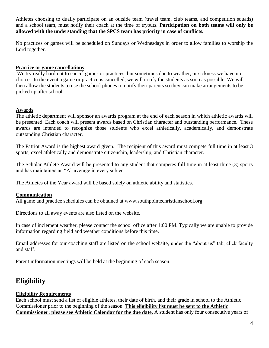Athletes choosing to dually participate on an outside team (travel team, club teams, and competition squads) and a school team, must notify their coach at the time of tryouts. **Participation on both teams will only be allowed with the understanding that the SPCS team has priority in case of conflicts.**

No practices or games will be scheduled on Sundays or Wednesdays in order to allow families to worship the Lord together.

## **Practice or game cancellations**

We try really hard not to cancel games or practices, but sometimes due to weather, or sickness we have no choice. In the event a game or practice is cancelled, we will notify the students as soon as possible. We will then allow the students to use the school phones to notify their parents so they can make arrangements to be picked up after school.

## **Awards**

The athletic department will sponsor an awards program at the end of each season in which athletic awards will be presented. Each coach will present awards based on Christian character and outstanding performance. These awards are intended to recognize those students who excel athletically, academically, and demonstrate outstanding Christian character.

The Patriot Award is the highest award given. The recipient of this award must compete full time in at least 3 sports, excel athletically and demonstrate citizenship, leadership, and Christian character.

The Scholar Athlete Award will be presented to any student that competes full time in at least three (3) sports and has maintained an "A" average in every subject.

The Athletes of the Year award will be based solely on athletic ability and statistics.

## **Communication**

All game and practice schedules can be obtained at www.southpointechristianschool.org.

Directions to all away events are also listed on the website.

In case of inclement weather, please contact the school office after 1:00 PM. Typically we are unable to provide information regarding field and weather conditions before this time.

Email addresses for our coaching staff are listed on the school website, under the "about us" tab, click faculty and staff.

Parent information meetings will be held at the beginning of each season.

# **Eligibility**

## **Eligibility Requirements**

Each school must send a list of eligible athletes, their date of birth, and their grade in school to the Athletic Commissioner prior to the beginning of the season. **This eligibility list must be sent to the Athletic Commissioner: please see Athletic Calendar for the due date.** A student has only four consecutive years of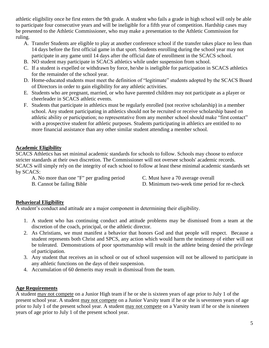athletic eligibility once he first enters the 9th grade. A student who fails a grade in high school will only be able to participate four consecutive years and will be ineligible for a fifth year of competition. Hardship cases may be presented to the Athletic Commissioner, who may make a presentation to the Athletic Commission for ruling.

- A. Transfer Students are eligible to play at another conference school if the transfer takes place no less than 14 days before the first official game in that sport. Students enrolling during the school year may not participate in any game until 14 days after the official date of enrollment in the SCACS school.
- B. NO student may participate in SCACS athletics while under suspension from school.
- C. If a student is expelled or withdrawn by force, he/she is ineligible for participation in SCACS athletics for the remainder of the school year.
- D. Home-educated students must meet the definition of "legitimate" students adopted by the SCACS Board of Directors in order to gain eligibility for any athletic activities.
- E. Students who are pregnant, married, or who have parented children may not participate as a player or cheerleader in SCACS athletic events.
- F. Students that participate in athletics must be regularly enrolled (not receive scholarship) in a member school. Any student participating in athletics should not be recruited or receive scholarship based on athletic ability or participation; no representative from any member school should make "first contact" with a prospective student for athletic purposes. Students participating in athletics are entitled to no more financial assistance than any other similar student attending a member school.

## **Academic Eligibility**

SCACS Athletics has set minimal academic standards for schools to follow. Schools may choose to enforce stricter standards at their own discretion. The Commissioner will not oversee schools' academic records. SCACS will simply rely on the integrity of each school to follow at least these minimal academic standards set by SCACS:

- A. No more than one "F" per grading period C. Must have a 70 average overall
	-
- 
- B. Cannot be failing Bible D. Minimum two-week time period for re-check
	-

## **Behavioral Eligibility**

A student's conduct and attitude are a major component in determining their eligibility.

- 1. A student who has continuing conduct and attitude problems may be dismissed from a team at the discretion of the coach, principal, or the athletic director.
- 2. As Christians, we must manifest a behavior that honors God and that people will respect. Because a student represents both Christ and SPCS, any action which would harm the testimony of either will not be tolerated. Demonstrations of poor sportsmanship will result in the athlete being denied the privilege of participation.
- 3. Any student that receives an in school or out of school suspension will not be allowed to participate in any athletic functions on the days of their suspension.
- 4. Accumulation of 60 demerits may result in dismissal from the team.

## **Age Requirements**

A student may not compete on a Junior High team if he or she is sixteen years of age prior to July 1 of the present school year. A student may not compete on a Junior Varsity team if he or she is seventeen years of age prior to July 1 of the present school year. A student may not compete on a Varsity team if he or she is nineteen years of age prior to July 1 of the present school year.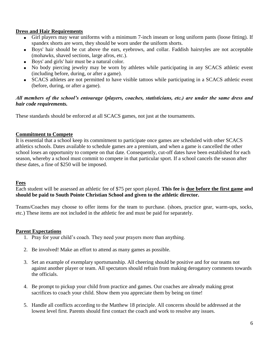## **Dress and Hair Requirements**

- Girl players may wear uniforms with a minimum 7-inch inseam or long uniform pants (loose fitting). If spandex shorts are worn, they should be worn under the uniform shorts.
- Boys' hair should be cut above the ears, eyebrows, and collar. Faddish hairstyles are not acceptable (mohawks, shaved sections, large afros, etc.).
- Boys' and girls' hair must be a natural color.
- No body piercing jewelry may be worn by athletes while participating in any SCACS athletic event (including before, during, or after a game).
- SCACS athletes are not permitted to have visible tattoos while participating in a SCACS athletic event (before, during, or after a game).

## *All members of the school's entourage (players, coaches, statisticians, etc.) are under the same dress and hair code requirements.*

These standards should be enforced at all SCACS games, not just at the tournaments.

## **Commitment to Compete**

It is essential that a school keep its commitment to participate once games are scheduled with other SCACS athletics schools. Dates available to schedule games are a premium, and when a game is cancelled the other school loses an opportunity to compete on that date. Consequently, cut-off dates have been established for each season, whereby a school must commit to compete in that particular sport. If a school cancels the season after these dates, a fine of \$250 will be imposed.

## **Fees**

Each student will be assessed an athletic fee of \$75 per sport played. **This fee is due before the first game and should be paid to South Pointe Christian School and given to the athletic director.**

Teams/Coaches may choose to offer items for the team to purchase. (shoes, practice gear, warm-ups, socks, etc.) These items are not included in the athletic fee and must be paid for separately.

## **Parent Expectations**

- 1. Pray for your child's coach. They need your prayers more than anything.
- 2. Be involved! Make an effort to attend as many games as possible.
- 3. Set an example of exemplary sportsmanship. All cheering should be positive and for our teams not against another player or team. All spectators should refrain from making derogatory comments towards the officials.
- 4. Be prompt to pickup your child from practice and games. Our coaches are already making great sacrifices to coach your child. Show them you appreciate them by being on time!
- 5. Handle all conflicts according to the Matthew 18 principle. All concerns should be addressed at the lowest level first. Parents should first contact the coach and work to resolve any issues.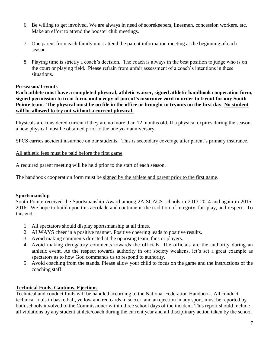- 6. Be willing to get involved. We are always in need of scorekeepers, linesmen, concession workers, etc. Make an effort to attend the booster club meetings.
- 7. One parent from each family must attend the parent information meeting at the beginning of each season.
- 8. Playing time is strictly a coach's decision. The coach is always in the best position to judge who is on the court or playing field. Please refrain from unfair assessment of a coach's intentions in these situations.

## **Preseason/Tryouts**

**Each athlete must have a completed physical, athletic waiver, signed athletic handbook cooperation form, signed permission to treat form, and a copy of parent's insurance card in order to tryout for any South Pointe team. The physical must be on file in the office or brought to tryouts on the first day. No student will be allowed to try out without a current physical.**

Physicals are considered current if they are no more than 12 months old. If a physical expires during the season, a new physical must be obtained prior to the one year anniversary.

SPCS carries accident insurance on our students. This is secondary coverage after parent's primary insurance.

All athletic fees must be paid before the first game.

A required parent meeting will be held prior to the start of each season.

The handbook cooperation form must be signed by the athlete and parent prior to the first game.

## **Sportsmanship**

South Pointe received the Sportsmanship Award among 2A SCACS schools in 2013-2014 and again in 2015- 2016. We hope to build upon this accolade and continue in the tradition of integrity, fair play, and respect. To this end…

- 1. All spectators should display sportsmanship at all times.
- 2. ALWAYS cheer in a positive manner. Positive cheering leads to positive results.
- 3. Avoid making comments directed at the opposing team, fans or players.
- 4. Avoid making derogatory comments towards the officials. The officials are the authority during an athletic event. As the respect towards authority in our society weakens, let's set a great example as spectators as to how God commands us to respond to authority.
- 5. Avoid coaching from the stands. Please allow your child to focus on the game and the instructions of the coaching staff.

## **Technical Fouls, Cautions, Ejections**

Technical and conduct fouls will be handled according to the National Federation Handbook. All conduct technical fouls in basketball, yellow and red cards in soccer, and an ejection in any sport, must be reported by both schools involved to the Commissioner within three school days of the incident. This report should include all violations by any student athlete/coach during the current year and all disciplinary action taken by the school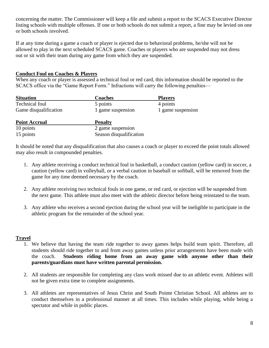concerning the matter. The Commissioner will keep a file and submit a report to the SCACS Executive Director listing schools with multiple offenses. If one or both schools do not submit a report, a fine may be levied on one or both schools involved.

If at any time during a game a coach or player is ejected due to behavioral problems, he/she will not be allowed to play in the next scheduled SCACS game. Coaches or players who are suspended may not dress out or sit with their team during any game from which they are suspended.

## **Conduct Foul on Coaches & Players**

When any coach or player is assessed a technical foul or red card, this information should be reported to the SCACS office via the "Game Report Form." Infractions will carry the following penalties—

| <b>Situation</b>      | <b>Coaches</b>    | <b>Players</b>    |
|-----------------------|-------------------|-------------------|
| Technical foul        | 5 points          | 4 points          |
| Game disqualification | 1 game suspension | 1 game suspension |

| <b>Point Accrual</b> | <b>Penalty</b>          |
|----------------------|-------------------------|
| 10 points            | 2 game suspension       |
| 15 points            | Season disqualification |

It should be noted that any disqualification that also causes a coach or player to exceed the point totals allowed may also result in compounded penalties.

- 1. Any athlete receiving a conduct technical foul in basketball, a conduct caution (yellow card) in soccer, a caution (yellow card) in volleyball, or a verbal caution in baseball or softball, will be removed from the game for any time deemed necessary by the coach.
- 2. Any athlete receiving two technical fouls in one game, or red card, or ejection will be suspended from the next game. This athlete must also meet with the athletic director before being reinstated to the team.
- 3. Any athlete who receives a second ejection during the school year will be ineligible to participate in the athletic program for the remainder of the school year.

## **Travel**

- 1. We believe that having the team ride together to away games helps build team spirit. Therefore, all students should ride together to and from away games unless prior arrangements have been made with the coach. **Students riding home from an away game with anyone other than their parents/guardians must have written parental permission.**
- 2. All students are responsible for completing any class work missed due to an athletic event. Athletes will not be given extra time to complete assignments.
- 3. All athletes are representatives of Jesus Christ and South Pointe Christian School. All athletes are to conduct themselves in a professional manner at all times. This includes while playing, while being a spectator and while in public places.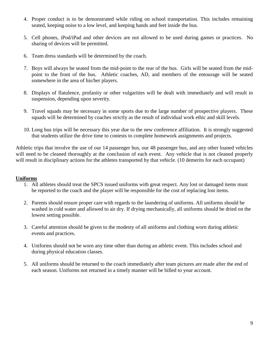- 4. Proper conduct is to be demonstrated while riding on school transportation. This includes remaining seated, keeping noise to a low level, and keeping hands and feet inside the bus.
- 5. Cell phones, iPod/iPad and other devices are not allowed to be used during games or practices. No sharing of devices will be permitted.
- 6. Team dress standards will be determined by the coach.
- 7. Boys will always be seated from the mid-point to the rear of the bus. Girls will be seated from the midpoint to the front of the bus. Athletic coaches, AD, and members of the entourage will be seated somewhere in the area of his/her players.
- 8. Displays of flatulence, profanity or other vulgarities will be dealt with immediately and will result in suspension, depending upon severity.
- 9. Travel squads may be necessary in some sports due to the large number of prospective players. These squads will be determined by coaches strictly as the result of individual work ethic and skill levels.
- 10. Long bus trips will be necessary this year due to the new conference affiliation. It is strongly suggested that students utilize the drive time to contests to complete homework assignments and projects.

Athletic trips that involve the use of our 14 passenger bus, our 48 passenger bus, and any other loaned vehicles will need to be cleaned thoroughly at the conclusion of each event. Any vehicle that is not cleaned properly will result in disciplinary actions for the athletes transported by that vehicle. (10 demerits for each occupant)

## **Uniforms**

- 1. All athletes should treat the SPCS issued uniforms with great respect. Any lost or damaged items must be reported to the coach and the player will be responsible for the cost of replacing lost items.
- 2. Parents should ensure proper care with regards to the laundering of uniforms. All uniforms should be washed in cold water and allowed to air dry. If drying mechanically, all uniforms should be dried on the lowest setting possible.
- 3. Careful attention should be given to the modesty of all uniforms and clothing worn during athletic events and practices.
- 4. Uniforms should not be worn any time other than during an athletic event. This includes school and during physical education classes.
- 5. All uniforms should be returned to the coach immediately after team pictures are made after the end of each season. Uniforms not returned in a timely manner will be billed to your account.